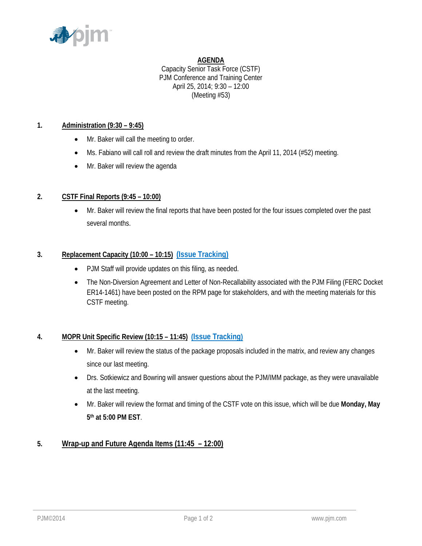

### **AGENDA**

Capacity Senior Task Force (CSTF) PJM Conference and Training Center April 25, 2014; 9:30 – 12:00 (Meeting #53)

### **1. Administration (9:30 – 9:45)**

- Mr. Baker will call the meeting to order.
- Ms. Fabiano will call roll and review the draft minutes from the April 11, 2014 (#52) meeting.
- Mr. Baker will review the agenda

# **2. CSTF Final Reports (9:45 – 10:00)**

• Mr. Baker will review the final reports that have been posted for the four issues completed over the past several months.

## **3. Replacement Capacity (10:00 – 10:15) [\(Issue Tracking\)](http://www.pjm.com/committees-and-groups/issue-tracking/issue-tracking-details.aspx?Issue=%7b0D0E7DC9-432E-4207-B27D-9EF7D07ADC25%7d)**

- PJM Staff will provide updates on this filing, as needed.
- The Non-Diversion Agreement and Letter of Non-Recallability associated with the PJM Filing (FERC Docket ER14-1461) have been posted on the RPM page for stakeholders, and with the meeting materials for this CSTF meeting.

# **4. MOPR Unit Specific Review (10:15 – 11:45) [\(Issue Tracking\)](http://www.pjm.com/committees-and-groups/issue-tracking/issue-tracking-details.aspx?Issue=%7b615F4A47-A683-4E2F-90EA-10FFFCBFA91D%7d)**

- Mr. Baker will review the status of the package proposals included in the matrix, and review any changes since our last meeting.
- Drs. Sotkiewicz and Bowring will answer questions about the PJM/IMM package, as they were unavailable at the last meeting.
- Mr. Baker will review the format and timing of the CSTF vote on this issue, which will be due **Monday, May 5th at 5:00 PM EST**.

# **5. Wrap-up and Future Agenda Items (11:45 – 12:00)**